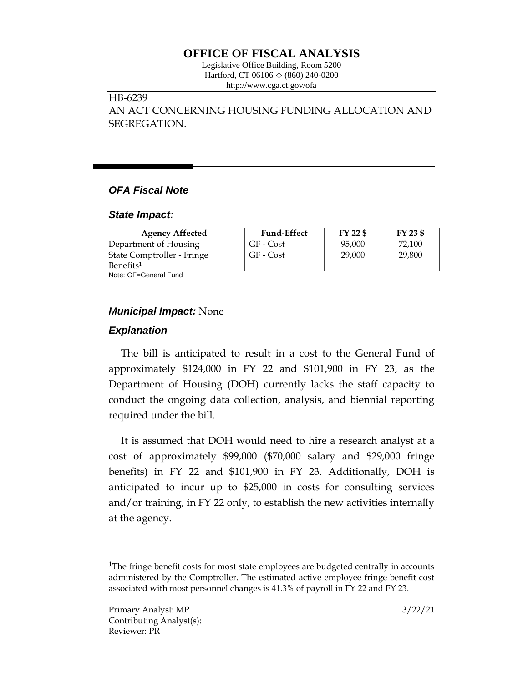# **OFFICE OF FISCAL ANALYSIS**

Legislative Office Building, Room 5200 Hartford, CT 06106 ◇ (860) 240-0200 http://www.cga.ct.gov/ofa

## HB-6239

AN ACT CONCERNING HOUSING FUNDING ALLOCATION AND SEGREGATION.

## *OFA Fiscal Note*

#### *State Impact:*

| <b>Agency Affected</b>     | <b>Fund-Effect</b> | FY 22 \$ | FY 23 \$ |
|----------------------------|--------------------|----------|----------|
| Department of Housing      | GF - Cost          | 95,000   | 72.100   |
| State Comptroller - Fringe | GF - Cost          | 29,000   | 29,800   |
| Benefits <sup>1</sup>      |                    |          |          |

Note: GF=General Fund

### *Municipal Impact:* None

### *Explanation*

The bill is anticipated to result in a cost to the General Fund of approximately \$124,000 in FY 22 and \$101,900 in FY 23, as the Department of Housing (DOH) currently lacks the staff capacity to conduct the ongoing data collection, analysis, and biennial reporting required under the bill.

It is assumed that DOH would need to hire a research analyst at a cost of approximately \$99,000 (\$70,000 salary and \$29,000 fringe benefits) in FY 22 and \$101,900 in FY 23. Additionally, DOH is anticipated to incur up to \$25,000 in costs for consulting services and/or training, in FY 22 only, to establish the new activities internally at the agency.

 $\overline{a}$ 

<sup>&</sup>lt;sup>1</sup>The fringe benefit costs for most state employees are budgeted centrally in accounts administered by the Comptroller. The estimated active employee fringe benefit cost associated with most personnel changes is 41.3% of payroll in FY 22 and FY 23.